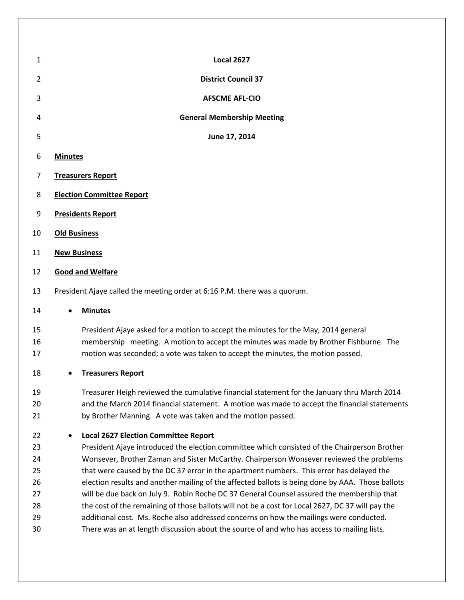| 1                                                  | <b>Local 2627</b>                                                                                                                                                                                                                                                                                                                                                                                                                                                                                                                                                                                                                                                                                                                                                                                                               |  |  |
|----------------------------------------------------|---------------------------------------------------------------------------------------------------------------------------------------------------------------------------------------------------------------------------------------------------------------------------------------------------------------------------------------------------------------------------------------------------------------------------------------------------------------------------------------------------------------------------------------------------------------------------------------------------------------------------------------------------------------------------------------------------------------------------------------------------------------------------------------------------------------------------------|--|--|
| 2                                                  | <b>District Council 37</b>                                                                                                                                                                                                                                                                                                                                                                                                                                                                                                                                                                                                                                                                                                                                                                                                      |  |  |
| 3                                                  | <b>AFSCME AFL-CIO</b>                                                                                                                                                                                                                                                                                                                                                                                                                                                                                                                                                                                                                                                                                                                                                                                                           |  |  |
| 4                                                  | <b>General Membership Meeting</b>                                                                                                                                                                                                                                                                                                                                                                                                                                                                                                                                                                                                                                                                                                                                                                                               |  |  |
| 5                                                  | June 17, 2014                                                                                                                                                                                                                                                                                                                                                                                                                                                                                                                                                                                                                                                                                                                                                                                                                   |  |  |
| 6                                                  | <b>Minutes</b>                                                                                                                                                                                                                                                                                                                                                                                                                                                                                                                                                                                                                                                                                                                                                                                                                  |  |  |
| 7                                                  | <b>Treasurers Report</b>                                                                                                                                                                                                                                                                                                                                                                                                                                                                                                                                                                                                                                                                                                                                                                                                        |  |  |
| 8                                                  | <b>Election Committee Report</b>                                                                                                                                                                                                                                                                                                                                                                                                                                                                                                                                                                                                                                                                                                                                                                                                |  |  |
| 9                                                  | <b>Presidents Report</b>                                                                                                                                                                                                                                                                                                                                                                                                                                                                                                                                                                                                                                                                                                                                                                                                        |  |  |
| 10                                                 | <b>Old Business</b>                                                                                                                                                                                                                                                                                                                                                                                                                                                                                                                                                                                                                                                                                                                                                                                                             |  |  |
| 11                                                 | <b>New Business</b>                                                                                                                                                                                                                                                                                                                                                                                                                                                                                                                                                                                                                                                                                                                                                                                                             |  |  |
| 12                                                 | <b>Good and Welfare</b>                                                                                                                                                                                                                                                                                                                                                                                                                                                                                                                                                                                                                                                                                                                                                                                                         |  |  |
| 13                                                 | President Ajaye called the meeting order at 6:16 P.M. there was a quorum.                                                                                                                                                                                                                                                                                                                                                                                                                                                                                                                                                                                                                                                                                                                                                       |  |  |
| 14                                                 | <b>Minutes</b>                                                                                                                                                                                                                                                                                                                                                                                                                                                                                                                                                                                                                                                                                                                                                                                                                  |  |  |
| 15<br>16<br>17                                     | President Ajaye asked for a motion to accept the minutes for the May, 2014 general<br>membership meeting. A motion to accept the minutes was made by Brother Fishburne. The<br>motion was seconded; a vote was taken to accept the minutes, the motion passed.                                                                                                                                                                                                                                                                                                                                                                                                                                                                                                                                                                  |  |  |
| 18                                                 | <b>Treasurers Report</b>                                                                                                                                                                                                                                                                                                                                                                                                                                                                                                                                                                                                                                                                                                                                                                                                        |  |  |
| 19<br>20<br>21                                     | Treasurer Heigh reviewed the cumulative financial statement for the January thru March 2014<br>and the March 2014 financial statement. A motion was made to accept the financial statements<br>by Brother Manning. A vote was taken and the motion passed.                                                                                                                                                                                                                                                                                                                                                                                                                                                                                                                                                                      |  |  |
| 22<br>23<br>24<br>25<br>26<br>27<br>28<br>29<br>30 | <b>Local 2627 Election Committee Report</b><br>President Ajaye introduced the election committee which consisted of the Chairperson Brother<br>Wonsever, Brother Zaman and Sister McCarthy. Chairperson Wonsever reviewed the problems<br>that were caused by the DC 37 error in the apartment numbers. This error has delayed the<br>election results and another mailing of the affected ballots is being done by AAA. Those ballots<br>will be due back on July 9. Robin Roche DC 37 General Counsel assured the membership that<br>the cost of the remaining of those ballots will not be a cost for Local 2627, DC 37 will pay the<br>additional cost. Ms. Roche also addressed concerns on how the mailings were conducted.<br>There was an at length discussion about the source of and who has access to mailing lists. |  |  |